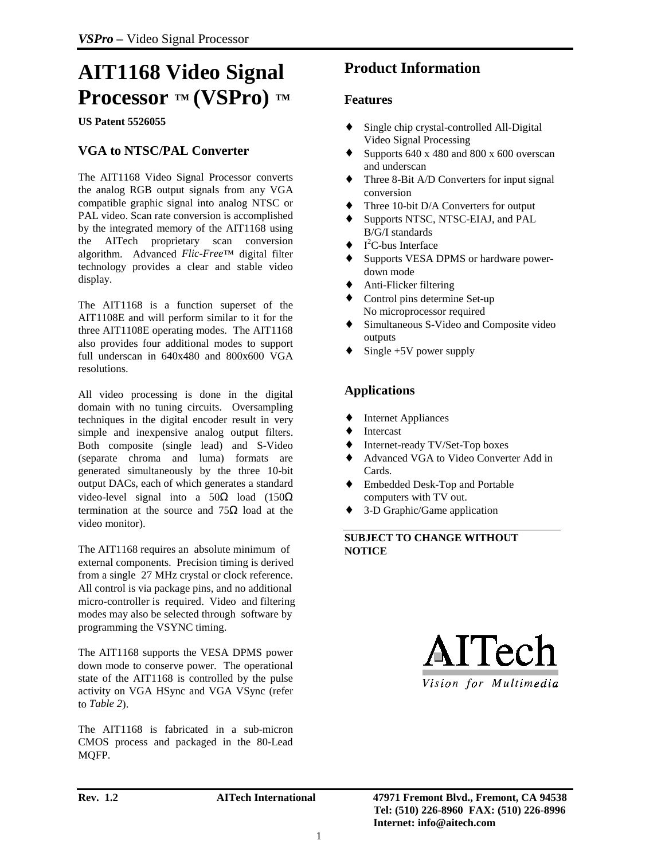# **AIT1168 Video Signal Processor ™ (VSPro) ™**

**US Patent 5526055**

## **VGA to NTSC/PAL Converter**

The AIT1168 Video Signal Processor converts the analog RGB output signals from any VGA compatible graphic signal into analog NTSC or PAL video. Scan rate conversion is accomplished by the integrated memory of the AIT1168 using the AITech proprietary scan conversion algorithm. Advanced *Flic-Free*™ digital filter technology provides a clear and stable video display.

The AIT1168 is a function superset of the AIT1108E and will perform similar to it for the three AIT1108E operating modes. The AIT1168 also provides four additional modes to support full underscan in 640x480 and 800x600 VGA resolutions.

All video processing is done in the digital domain with no tuning circuits. Oversampling techniques in the digital encoder result in very simple and inexpensive analog output filters. Both composite (single lead) and S-Video (separate chroma and luma) formats are generated simultaneously by the three 10-bit output DACs, each of which generates a standard video-level signal into a  $50\Omega$  load  $(150\Omega)$ termination at the source and  $75Ω$  load at the video monitor).

The AIT1168 requires an absolute minimum of external components. Precision timing is derived from a single 27 MHz crystal or clock reference. All control is via package pins, and no additional micro-controller is required. Video and filtering modes may also be selected through software by programming the VSYNC timing.

The AIT1168 supports the VESA DPMS power down mode to conserve power. The operational state of the AIT1168 is controlled by the pulse activity on VGA HSync and VGA VSync (refer to *Table 2*).

The AIT1168 is fabricated in a sub-micron CMOS process and packaged in the 80-Lead MQFP.

# **Product Information**

### **Features**

- Single chip crystal-controlled All-Digital Video Signal Processing
- $\bullet$  Supports 640 x 480 and 800 x 600 overscan and underscan
- Three 8-Bit A/D Converters for input signal conversion
- ♦ Three 10-bit D/A Converters for output
- ♦ Supports NTSC, NTSC-EIAJ, and PAL B/G/I standards
- $\blacklozenge$  I<sup>2</sup>C-bus Interface
- ♦ Supports VESA DPMS or hardware powerdown mode
- ♦ Anti-Flicker filtering
- ♦ Control pins determine Set-up No microprocessor required
- ♦ Simultaneous S-Video and Composite video outputs
- Single  $+5V$  power supply

# **Applications**

- ♦ Internet Appliances
- ♦ Intercast
- ♦ Internet-ready TV/Set-Top boxes
- ♦ Advanced VGA to Video Converter Add in Cards.
- Embedded Desk-Top and Portable computers with TV out.
- ♦ 3-D Graphic/Game application

### **SUBJECT TO CHANGE WITHOUT NOTICE**

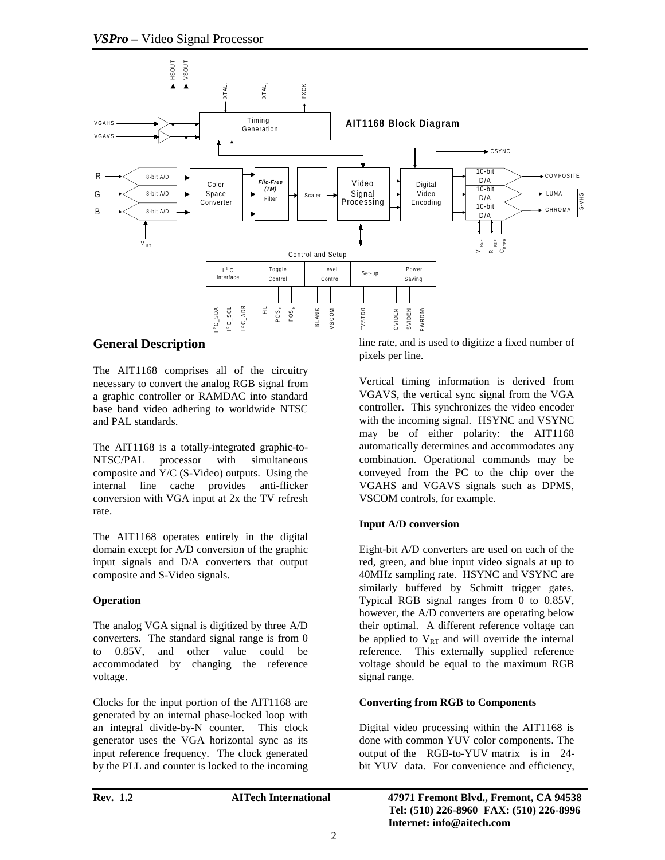

### **General Description**

The AIT1168 comprises all of the circuitry necessary to convert the analog RGB signal from a graphic controller or RAMDAC into standard base band video adhering to worldwide NTSC and PAL standards.

The AIT1168 is a totally-integrated graphic-to-NTSC/PAL processor with simultaneous composite and Y/C (S-Video) outputs. Using the internal line cache provides anti-flicker conversion with VGA input at 2x the TV refresh rate.

The AIT1168 operates entirely in the digital domain except for A/D conversion of the graphic input signals and D/A converters that output composite and S-Video signals.

### **Operation**

The analog VGA signal is digitized by three A/D converters. The standard signal range is from 0 to 0.85V, and other value could be accommodated by changing the reference voltage.

Clocks for the input portion of the AIT1168 are generated by an internal phase-locked loop with an integral divide-by-N counter. This clock generator uses the VGA horizontal sync as its input reference frequency. The clock generated by the PLL and counter is locked to the incoming line rate, and is used to digitize a fixed number of pixels per line.

Vertical timing information is derived from VGAVS, the vertical sync signal from the VGA controller. This synchronizes the video encoder with the incoming signal. HSYNC and VSYNC may be of either polarity: the AIT1168 automatically determines and accommodates any combination. Operational commands may be conveyed from the PC to the chip over the VGAHS and VGAVS signals such as DPMS, VSCOM controls, for example.

### **Input A/D conversion**

Eight-bit A/D converters are used on each of the red, green, and blue input video signals at up to 40MHz sampling rate. HSYNC and VSYNC are similarly buffered by Schmitt trigger gates. Typical RGB signal ranges from 0 to 0.85V, however, the A/D converters are operating below their optimal. A different reference voltage can be applied to  $V_{RT}$  and will override the internal reference. This externally supplied reference voltage should be equal to the maximum RGB signal range.

### **Converting from RGB to Components**

Digital video processing within the AIT1168 is done with common YUV color components. The output of the RGB-to-YUV matrix is in 24 bit YUV data. For convenience and efficiency,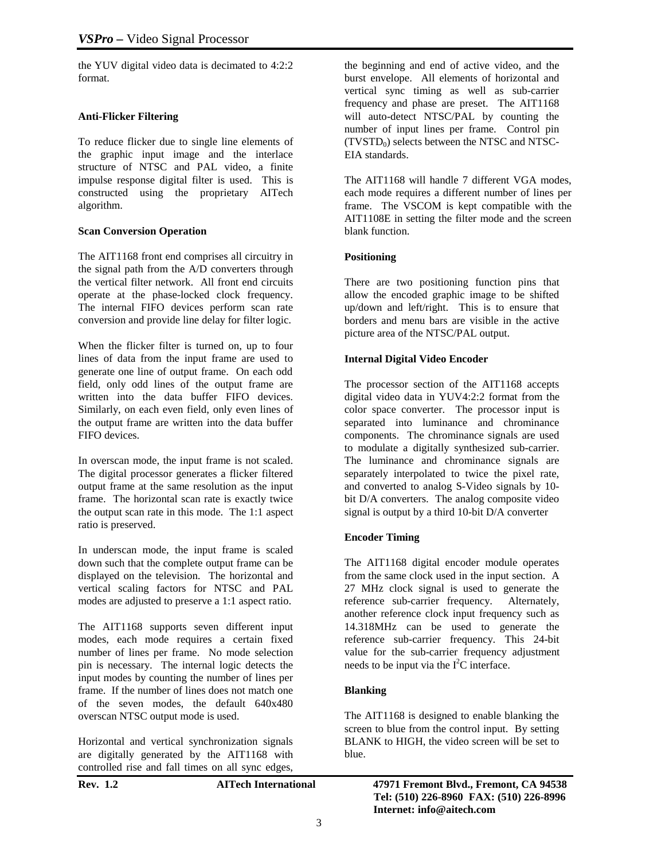the YUV digital video data is decimated to 4:2:2 format.

### **Anti-Flicker Filtering**

To reduce flicker due to single line elements of the graphic input image and the interlace structure of NTSC and PAL video, a finite impulse response digital filter is used. This is constructed using the proprietary AITech algorithm.

### **Scan Conversion Operation**

The AIT1168 front end comprises all circuitry in the signal path from the A/D converters through the vertical filter network. All front end circuits operate at the phase-locked clock frequency. The internal FIFO devices perform scan rate conversion and provide line delay for filter logic.

When the flicker filter is turned on, up to four lines of data from the input frame are used to generate one line of output frame. On each odd field, only odd lines of the output frame are written into the data buffer FIFO devices. Similarly, on each even field, only even lines of the output frame are written into the data buffer FIFO devices.

In overscan mode, the input frame is not scaled. The digital processor generates a flicker filtered output frame at the same resolution as the input frame. The horizontal scan rate is exactly twice the output scan rate in this mode. The 1:1 aspect ratio is preserved.

In underscan mode, the input frame is scaled down such that the complete output frame can be displayed on the television. The horizontal and vertical scaling factors for NTSC and PAL modes are adjusted to preserve a 1:1 aspect ratio.

The AIT1168 supports seven different input modes, each mode requires a certain fixed number of lines per frame. No mode selection pin is necessary. The internal logic detects the input modes by counting the number of lines per frame. If the number of lines does not match one of the seven modes, the default 640x480 overscan NTSC output mode is used.

Horizontal and vertical synchronization signals are digitally generated by the AIT1168 with controlled rise and fall times on all sync edges,

| I<br>.,<br>к<br>μ<br>١ |  |
|------------------------|--|
|------------------------|--|

the beginning and end of active video, and the burst envelope. All elements of horizontal and vertical sync timing as well as sub-carrier frequency and phase are preset. The AIT1168 will auto-detect NTSC/PAL by counting the number of input lines per frame. Control pin  $(TVSTD<sub>0</sub>)$  selects between the NTSC and NTSC-EIA standards.

The AIT1168 will handle 7 different VGA modes, each mode requires a different number of lines per frame. The VSCOM is kept compatible with the AIT1108E in setting the filter mode and the screen blank function.

### **Positioning**

There are two positioning function pins that allow the encoded graphic image to be shifted up/down and left/right. This is to ensure that borders and menu bars are visible in the active picture area of the NTSC/PAL output.

### **Internal Digital Video Encoder**

The processor section of the AIT1168 accepts digital video data in YUV4:2:2 format from the color space converter. The processor input is separated into luminance and chrominance components. The chrominance signals are used to modulate a digitally synthesized sub-carrier. The luminance and chrominance signals are separately interpolated to twice the pixel rate, and converted to analog S-Video signals by 10 bit D/A converters. The analog composite video signal is output by a third 10-bit D/A converter

### **Encoder Timing**

The AIT1168 digital encoder module operates from the same clock used in the input section. A 27 MHz clock signal is used to generate the reference sub-carrier frequency. Alternately, another reference clock input frequency such as 14.318MHz can be used to generate the reference sub-carrier frequency. This 24-bit value for the sub-carrier frequency adjustment needs to be input via the  $I<sup>2</sup>C$  interface.

### **Blanking**

The AIT1168 is designed to enable blanking the screen to blue from the control input. By setting BLANK to HIGH, the video screen will be set to blue.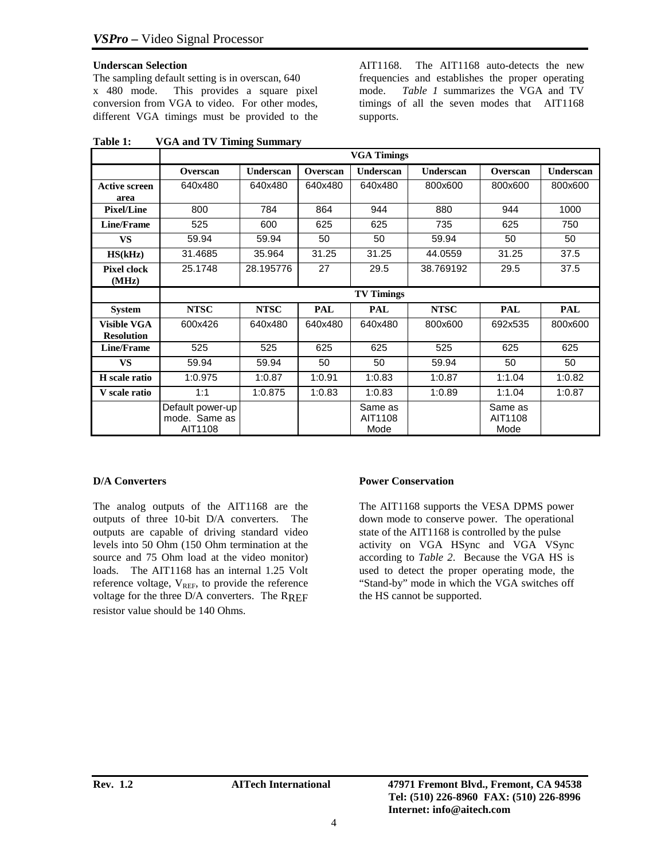### **Underscan Selection**

The sampling default setting is in overscan, 640 x 480 mode. This provides a square pixel conversion from VGA to video. For other modes, different VGA timings must be provided to the AIT1168. The AIT1168 auto-detects the new frequencies and establishes the proper operating mode. *Table 1* summarizes the VGA and TV timings of all the seven modes that AIT1168 supports.

|                      | <b>VGA Timings</b> |                  |            |                   |             |            |                  |
|----------------------|--------------------|------------------|------------|-------------------|-------------|------------|------------------|
|                      | Overscan           | <b>Underscan</b> | Overscan   | <b>Underscan</b>  | Underscan   | Overscan   | <b>Underscan</b> |
| <b>Active screen</b> | 640x480            | 640x480          | 640x480    | 640x480           | 800x600     | 800x600    | 800x600          |
| area                 |                    |                  |            |                   |             |            |                  |
| <b>Pixel/Line</b>    | 800                | 784              | 864        | 944               | 880         | 944        | 1000             |
| <b>Line/Frame</b>    | 525                | 600              | 625        | 625               | 735         | 625        | 750              |
| <b>VS</b>            | 59.94              | 59.94            | 50         | 50                | 59.94       | 50         | 50               |
| HS(kHz)              | 31.4685            | 35.964           | 31.25      | 31.25             | 44.0559     | 31.25      | 37.5             |
| <b>Pixel clock</b>   | 25.1748            | 28.195776        | 27         | 29.5              | 38.769192   | 29.5       | 37.5             |
| (MHz)                |                    |                  |            |                   |             |            |                  |
|                      |                    |                  |            | <b>TV Timings</b> |             |            |                  |
| <b>System</b>        | <b>NTSC</b>        | <b>NTSC</b>      | <b>PAL</b> | <b>PAL</b>        | <b>NTSC</b> | <b>PAL</b> | <b>PAL</b>       |
| <b>Visible VGA</b>   | 600x426            | 640x480          | 640x480    | 640x480           | 800x600     | 692x535    | 800x600          |
| <b>Resolution</b>    |                    |                  |            |                   |             |            |                  |
| <b>Line/Frame</b>    | 525                | 525              | 625        | 625               | 525         | 625        | 625              |
| <b>VS</b>            | 59.94              | 59.94            | 50         | 50                | 59.94       | 50         | 50               |
| H scale ratio        | 1:0.975            | 1:0.87           | 1:0.91     | 1:0.83            | 1:0.87      | 1:1.04     | 1:0.82           |
| <b>V</b> scale ratio | 1:1                | 1:0.875          | 1:0.83     | 1:0.83            | 1:0.89      | 1:1.04     | 1:0.87           |
|                      | Default power-up   |                  |            | Same as           |             | Same as    |                  |
|                      | mode. Same as      |                  |            | AIT1108           |             | AIT1108    |                  |
|                      | AIT1108            |                  |            | Mode              |             | Mode       |                  |

**Table 1: VGA and TV Timing Summary**

### **D/A Converters**

The analog outputs of the AIT1168 are the outputs of three 10-bit D/A converters. The outputs are capable of driving standard video levels into 50 Ohm (150 Ohm termination at the source and 75 Ohm load at the video monitor) loads. The AIT1168 has an internal 1.25 Volt reference voltage,  $V_{REF}$ , to provide the reference voltage for the three  $D/A$  converters. The  $R_{REF}$ resistor value should be 140 Ohms.

### **Power Conservation**

The AIT1168 supports the VESA DPMS power down mode to conserve power. The operational state of the AIT1168 is controlled by the pulse activity on VGA HSync and VGA VSync according to *Table 2*. Because the VGA HS is used to detect the proper operating mode, the "Stand-by" mode in which the VGA switches off the HS cannot be supported.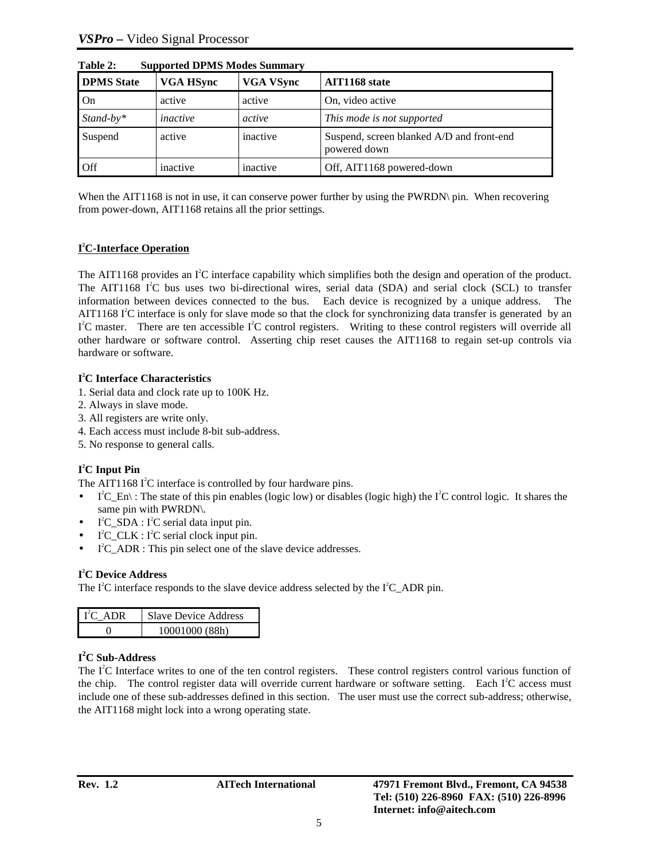| Table 2:<br>Supported DPMS Modes Summary |                  |                  |                                                           |  |  |  |  |
|------------------------------------------|------------------|------------------|-----------------------------------------------------------|--|--|--|--|
| <b>DPMS</b> State                        | <b>VGA HSync</b> | <b>VGA VSync</b> | AIT1168 state                                             |  |  |  |  |
| On                                       | active           | active           | On, video active                                          |  |  |  |  |
| $Stand-by*$                              | inactive         | active           | This mode is not supported                                |  |  |  |  |
| Suspend                                  | active           | inactive         | Suspend, screen blanked A/D and front-end<br>powered down |  |  |  |  |
| Off                                      | inactive         | inactive         | Off, AIT1168 powered-down                                 |  |  |  |  |

**Table 2: Supported DPMS Modes Summary**

When the AIT1168 is not in use, it can conserve power further by using the PWRDN\ pin. When recovering from power-down, AIT1168 retains all the prior settings.

### **I 2 C-Interface Operation**

The AIT1168 provides an  $I^2C$  interface capability which simplifies both the design and operation of the product. The AIT1168 I<sup>2</sup>C bus uses two bi-directional wires, serial data (SDA) and serial clock (SCL) to transfer information between devices connected to the bus. Each device is recognized by a unique address. The AIT1168  $I^2C$  interface is only for slave mode so that the clock for synchronizing data transfer is generated by an  $I<sup>2</sup>C$  master. There are ten accessible  $I<sup>2</sup>C$  control registers. Writing to these control registers will override all other hardware or software control. Asserting chip reset causes the AIT1168 to regain set-up controls via hardware or software.

### **I 2 C Interface Characteristics**

- 1. Serial data and clock rate up to 100K Hz.
- 2. Always in slave mode.
- 3. All registers are write only.
- 4. Each access must include 8-bit sub-address.
- 5. No response to general calls.

### **I 2 C Input Pin**

The AIT1168  $I^2C$  interface is controlled by four hardware pins.

- $\bullet$  I<sup>2</sup>C\_En\: The state of this pin enables (logic low) or disables (logic high) the I<sup>2</sup>C control logic. It shares the same pin with PWRDN\.
- $\bullet$  I<sup>2</sup>C\_SDA : I<sup>2</sup>C serial data input pin.
- $I^2C_CLK : I^2C$  serial clock input pin.
- I<sup>2</sup>C\_ADR : This pin select one of the slave device addresses.

### **I 2 C Device Address**

The  $I^2C$  interface responds to the slave device address selected by the  $I^2C$ \_ADR pin.

| $\Gamma^2$ C ADR | <b>Slave Device Address</b> |
|------------------|-----------------------------|
|                  | 10001000 (88h)              |

### **I 2 C Sub-Address**

The  $I<sup>2</sup>C$  Interface writes to one of the ten control registers. These control registers control various function of the chip. The control register data will override current hardware or software setting. Each  $I<sup>2</sup>C$  access must include one of these sub-addresses defined in this section. The user must use the correct sub-address; otherwise, the AIT1168 might lock into a wrong operating state.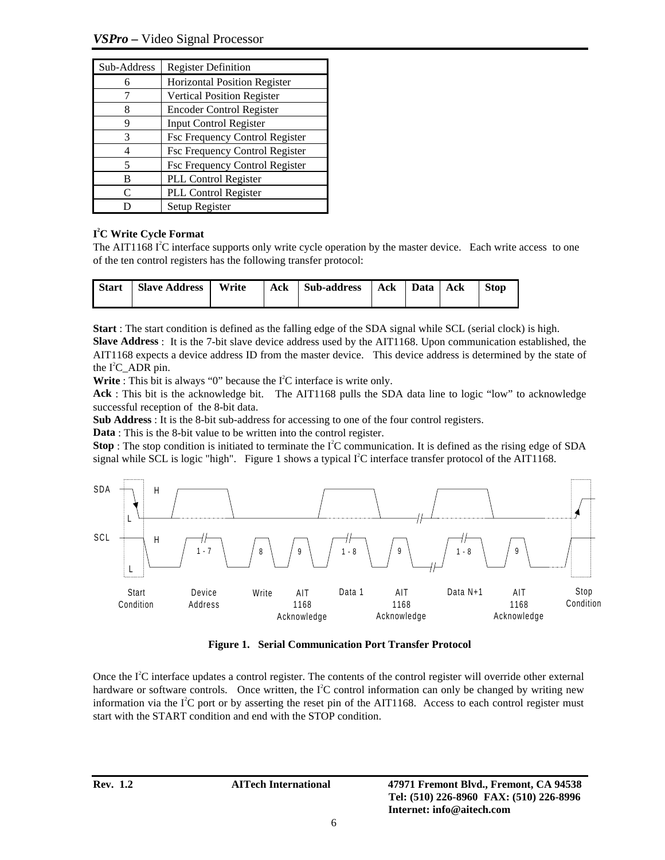*VSPro –* Video Signal Processor

| Sub-Address       | <b>Register Definition</b>            |
|-------------------|---------------------------------------|
|                   | <b>Horizontal Position Register</b>   |
|                   | <b>Vertical Position Register</b>     |
| 8                 | <b>Encoder Control Register</b>       |
| q                 | Input Control Register                |
| 3                 | <b>Fsc Frequency Control Register</b> |
|                   | <b>Fsc Frequency Control Register</b> |
| 5                 | Fsc Frequency Control Register        |
| в                 | PLL Control Register                  |
| $\mathsf{\Gamma}$ | PLL Control Register                  |
|                   | Setup Register                        |

### **I 2 C Write Cycle Format**

The AIT1168  $I<sup>2</sup>C$  interface supports only write cycle operation by the master device. Each write access to one of the ten control registers has the following transfer protocol:

| <b>Start</b> | Slave Address   Write |  | Ack Sub-address | Ack   Data   Ack | <b>Stop</b> |
|--------------|-----------------------|--|-----------------|------------------|-------------|
|              |                       |  |                 |                  |             |

**Start** : The start condition is defined as the falling edge of the SDA signal while SCL (serial clock) is high.

**Slave Address** : It is the 7-bit slave device address used by the AIT1168. Upon communication established, the AIT1168 expects a device address ID from the master device. This device address is determined by the state of the  $I^2C$ \_ADR pin.

Write : This bit is always " $0$ " because the  $I<sup>2</sup>C$  interface is write only.

**Ack** : This bit is the acknowledge bit. The AIT1168 pulls the SDA data line to logic "low" to acknowledge successful reception of the 8-bit data.

**Sub Address** : It is the 8-bit sub-address for accessing to one of the four control registers.

**Data** : This is the 8-bit value to be written into the control register.

**Stop**: The stop condition is initiated to terminate the  $I^2C$  communication. It is defined as the rising edge of SDA signal while SCL is logic "high". Figure 1 shows a typical  $I<sup>2</sup>C$  interface transfer protocol of the AIT1168.



**Figure 1. Serial Communication Port Transfer Protocol**

Once the  $I<sup>2</sup>C$  interface updates a control register. The contents of the control register will override other external hardware or software controls. Once written, the  $I<sup>2</sup>C$  control information can only be changed by writing new information via the  $I^2C$  port or by asserting the reset pin of the AIT1168. Access to each control register must start with the START condition and end with the STOP condition.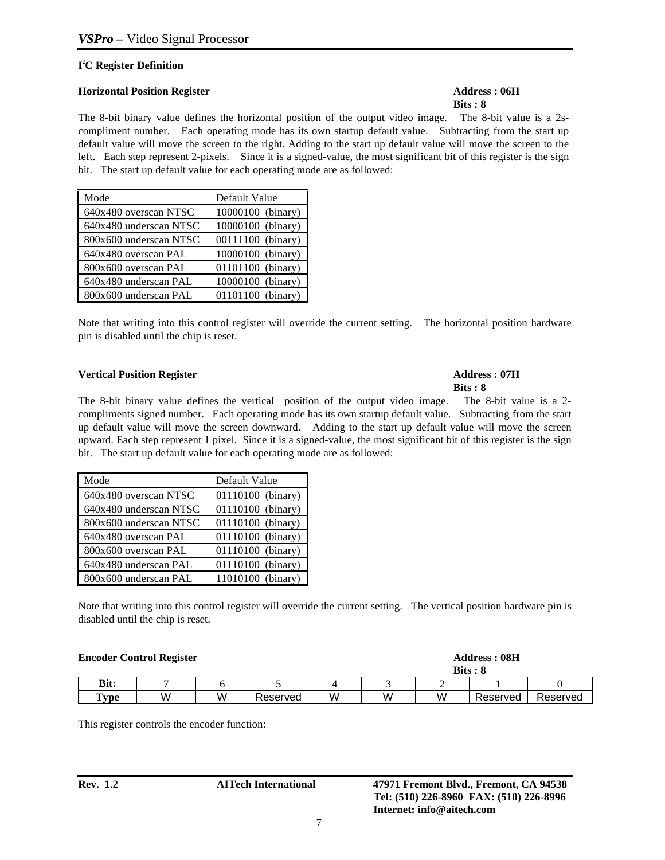### **I 2 C Register Definition**

### **Horizontal Position Register Address : 06H**

# **Bits : 8**

The 8-bit binary value defines the horizontal position of the output video image. The 8-bit value is a 2scompliment number. Each operating mode has its own startup default value. Subtracting from the start up default value will move the screen to the right. Adding to the start up default value will move the screen to the left. Each step represent 2-pixels. Since it is a signed-value, the most significant bit of this register is the sign bit. The start up default value for each operating mode are as followed:

| Mode                   | Default Value     |
|------------------------|-------------------|
| 640x480 overscan NTSC  | 10000100 (binary) |
| 640x480 underscan NTSC | 10000100 (binary) |
| 800x600 underscan NTSC | 00111100 (binary) |
| 640x480 overscan PAL   | 10000100 (binary) |
| 800x600 overscan PAL   | 01101100 (binary) |
| 640x480 underscan PAL  | 10000100 (binary) |
| 800x600 underscan PAL  | 01101100 (binary) |

Note that writing into this control register will override the current setting. The horizontal position hardware pin is disabled until the chip is reset.

### **Vertical Position Register Address : 07H**

The 8-bit binary value defines the vertical position of the output video image. The 8-bit value is a 2 compliments signed number. Each operating mode has its own startup default value. Subtracting from the start up default value will move the screen downward. Adding to the start up default value will move the screen upward. Each step represent 1 pixel. Since it is a signed-value, the most significant bit of this register is the sign bit. The start up default value for each operating mode are as followed:

| Mode                   | Default Value     |
|------------------------|-------------------|
| 640x480 overscan NTSC  | 01110100 (binary) |
| 640x480 underscan NTSC | 01110100 (binary) |
| 800x600 underscan NTSC | 01110100 (binary) |
| 640x480 overscan PAL   | 01110100 (binary) |
| 800x600 overscan PAL   | 01110100 (binary) |
| 640x480 underscan PAL  | 01110100 (binary) |
| 800x600 underscan PAL  | 11010100 (binary) |

Note that writing into this control register will override the current setting. The vertical position hardware pin is disabled until the chip is reset.

| <b>Encoder Control Register</b> |   |   |          |   |   |   | <b>Address: 08H</b><br>$Bits : 8$ |          |
|---------------------------------|---|---|----------|---|---|---|-----------------------------------|----------|
| Bit:                            |   |   |          |   |   |   |                                   |          |
| <b>Type</b>                     | W | W | Reserved | W | W | W | Reserved                          | Reserved |

This register controls the encoder function:

# **Bits : 8**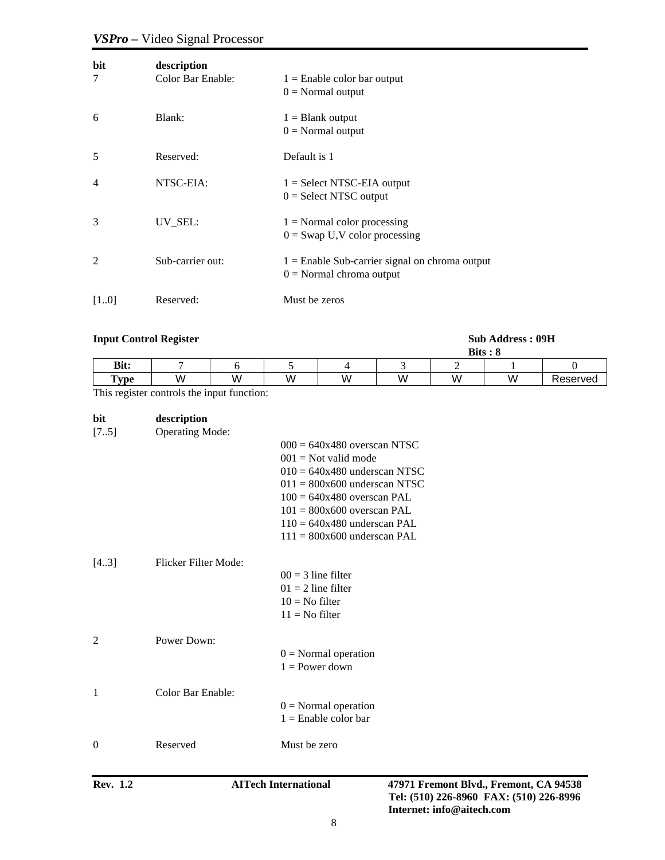# *VSPro –* Video Signal Processor

| bit<br>7                 | description<br>Color Bar Enable: | $1 =$ Enable color bar output<br>$0 = Normal$ output                           |
|--------------------------|----------------------------------|--------------------------------------------------------------------------------|
| 6                        | Blank:                           | $1 =$ Blank output<br>$0 = Normal$ output                                      |
| 5                        | Reserved:                        | Default is 1                                                                   |
| $\overline{\mathcal{A}}$ | NTSC-EIA:                        | $1 = Select NTSC-EIA output$<br>$0 =$ Select NTSC output                       |
| 3                        | UV_SEL:                          | $1 = Normal color processing$<br>$0 =$ Swap U,V color processing               |
| $\overline{2}$           | Sub-carrier out:                 | $1 =$ Enable Sub-carrier signal on chroma output<br>$0 = Normal$ chroma output |
| [10]                     | Reserved:                        | Must be zeros                                                                  |

### **Input Control Register Sub Address : 09H**

|                 |     |        |   |   |          | <b>Bits</b> | . о |          |
|-----------------|-----|--------|---|---|----------|-------------|-----|----------|
| Bit:            |     |        |   |   |          |             |     |          |
| $\mathbf{Type}$ | W   | W      | W | W | W<br>. . | W           | W   | Reserved |
| $-$             | . . | $\sim$ |   |   |          |             |     |          |

This register controls the input function:

| bit    | description            |                                |
|--------|------------------------|--------------------------------|
| $[75]$ | <b>Operating Mode:</b> |                                |
|        |                        | $000 = 640x480$ overscan NTSC  |
|        |                        | $001$ = Not valid mode         |
|        |                        | $010 = 640x480$ underscan NTSC |
|        |                        | $011 = 800x600$ underscan NTSC |
|        |                        | $100 = 640x480$ overscan PAL   |
|        |                        | $101 = 800x600$ overscan PAL   |
|        |                        | $110 = 640x480$ underscan PAL  |
|        |                        | $111 = 800x600$ underscan PAL  |
| [43]   | Flicker Filter Mode:   |                                |
|        |                        | $00 = 3$ line filter           |
|        |                        | $01 = 2$ line filter           |
|        |                        | $10 =$ No filter               |
|        |                        | $11 = No filter$               |
| 2      | Power Down:            |                                |
|        |                        | $0 = Normal operation$         |
|        |                        | $1 = Power down$               |
|        |                        |                                |
| 1      | Color Bar Enable:      |                                |
|        |                        | $0 = Normal operation$         |
|        |                        | $1 =$ Enable color bar         |
| 0      | Reserved               | Must be zero                   |
|        |                        |                                |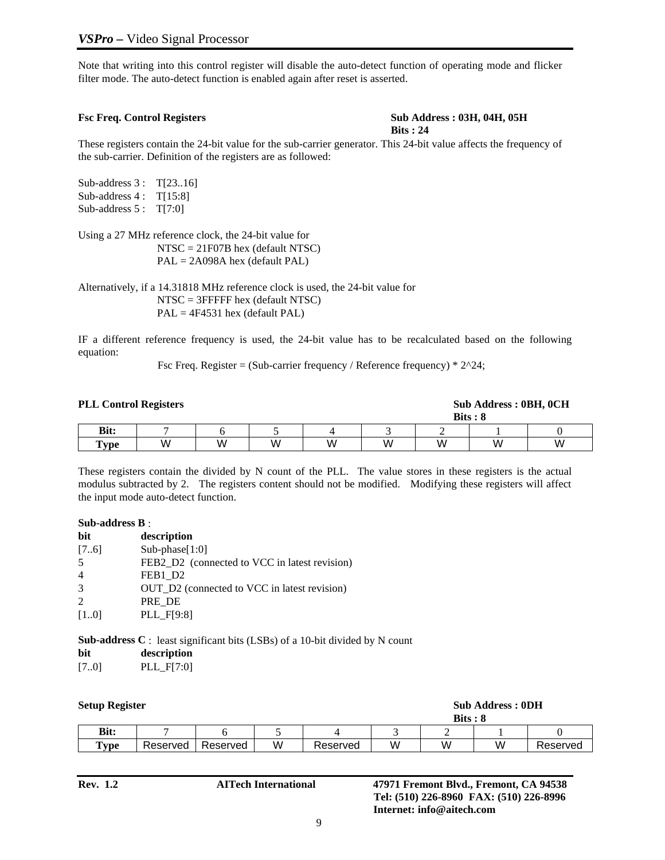Note that writing into this control register will disable the auto-detect function of operating mode and flicker filter mode. The auto-detect function is enabled again after reset is asserted.

#### **Fsc Freq. Control Registers Sub Address : 03H, 04H, 05H Bits : 24**

These registers contain the 24-bit value for the sub-carrier generator. This 24-bit value affects the frequency of the sub-carrier. Definition of the registers are as followed:

Sub-address 3: T[23..16] Sub-address 4 : T[15:8] Sub-address 5 : T[7:0]

Using a 27 MHz reference clock, the 24-bit value for NTSC = 21F07B hex (default NTSC) PAL = 2A098A hex (default PAL)

Alternatively, if a 14.31818 MHz reference clock is used, the 24-bit value for NTSC = 3FFFFF hex (default NTSC) PAL = 4F4531 hex (default PAL)

IF a different reference frequency is used, the 24-bit value has to be recalculated based on the following equation:

Fsc Freq. Register = (Sub-carrier frequency / Reference frequency)  $* 2^2$ 4;

| <b>PLL Control Registers</b> |   |   |   |   |   |   | Sub Address: 0BH, 0CH<br>$Bits : 8$ |   |
|------------------------------|---|---|---|---|---|---|-------------------------------------|---|
| <b>Bit:</b>                  |   |   |   |   |   |   |                                     |   |
| $T$ <sub>ype</sub>           | W | W | W | W | W | W | W                                   | W |

These registers contain the divided by N count of the PLL. The value stores in these registers is the actual modulus subtracted by 2. The registers content should not be modified. Modifying these registers will affect the input mode auto-detect function.

#### **Sub-address B** :

| description                                   |
|-----------------------------------------------|
| $Sub-phase[1:0]$                              |
| FEB2_D2 (connected to VCC in latest revision) |
| FEB1 D2                                       |
| OUT D2 (connected to VCC in latest revision)  |
| PRE DE                                        |
| PLL F[9:8]                                    |
|                                               |

**Sub-address C** : least significant bits (LSBs) of a 10-bit divided by N count

- **bit description**
- [7..0] PLL\_F[7:0]

| <b>Setup Register</b> |                 |          |          |   |          |   | $Bits : 8$ | <b>Sub Address: 0DH</b> |          |
|-----------------------|-----------------|----------|----------|---|----------|---|------------|-------------------------|----------|
|                       | Bit:            |          |          |   |          |   |            |                         |          |
|                       | $\mathbf{Type}$ | Reserved | Reserved | W | Reserved | W | W          | W                       | Reserved |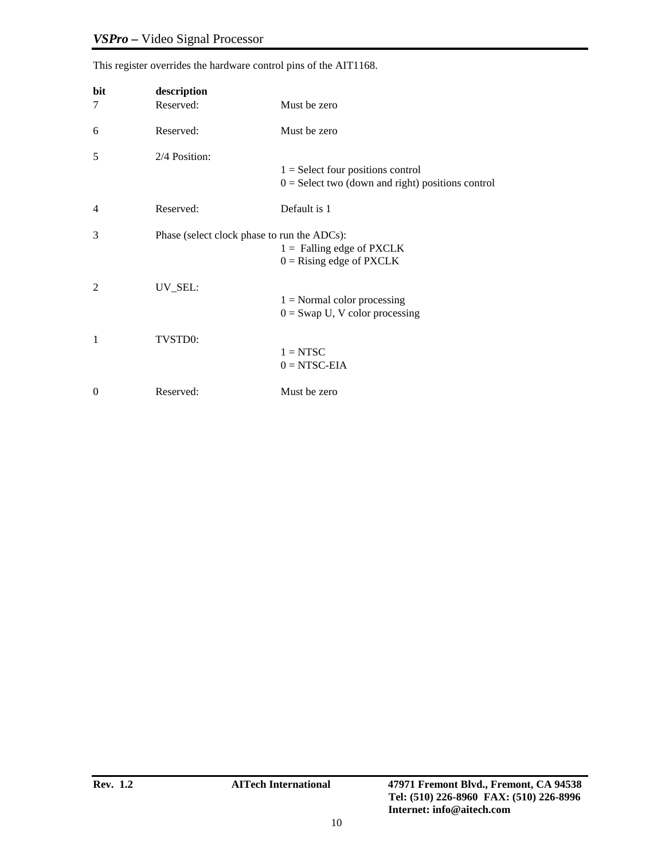| bit<br>7       | description<br>Reserved:                    | Must be zero                                                                               |
|----------------|---------------------------------------------|--------------------------------------------------------------------------------------------|
| 6              | Reserved:                                   | Must be zero                                                                               |
| 5              | 2/4 Position:                               | $1 =$ Select four positions control<br>$0 =$ Select two (down and right) positions control |
| $\overline{4}$ | Reserved:                                   | Default is 1                                                                               |
| 3              | Phase (select clock phase to run the ADCs): | $1 =$ Falling edge of PXCLK<br>$0 =$ Rising edge of PXCLK                                  |
| 2              | UV_SEL:                                     | $1 = Normal color processing$<br>$0 =$ Swap U, V color processing                          |
| 1              | TVSTD0:                                     | $1 = NTSC$<br>$0 = NTSC-EIA$                                                               |
| $\Omega$       | Reserved:                                   | Must be zero                                                                               |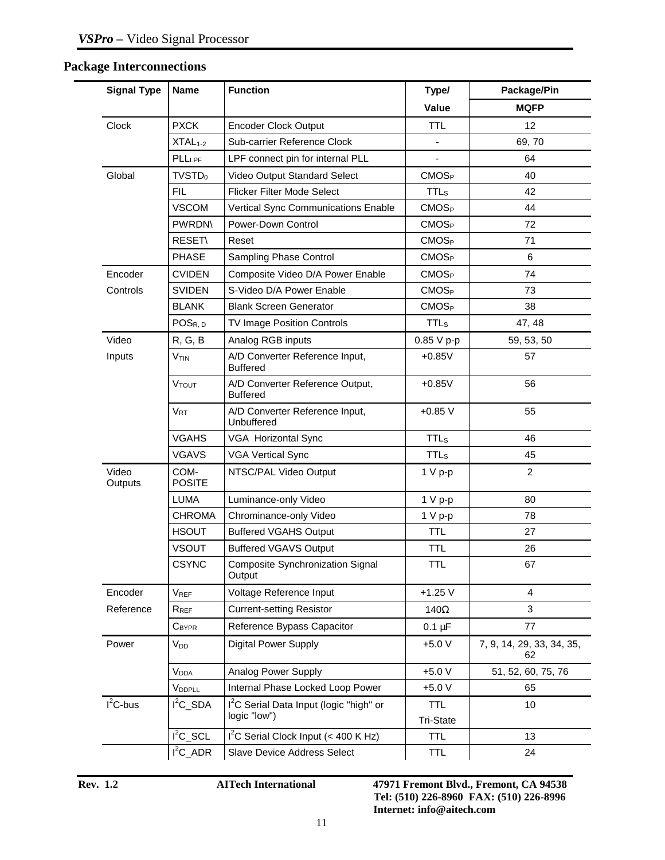# **Package Interconnections**

| <b>Signal Type</b> | <b>Name</b>           | <b>Function</b>                                                     | Type/                          | Package/Pin                     |
|--------------------|-----------------------|---------------------------------------------------------------------|--------------------------------|---------------------------------|
|                    |                       |                                                                     | Value                          | <b>MQFP</b>                     |
| Clock              | <b>PXCK</b>           | <b>Encoder Clock Output</b>                                         | <b>TTL</b>                     | 12                              |
|                    | $XTAL1-2$             | Sub-carrier Reference Clock                                         | ä,                             | 69,70                           |
|                    | PLLLPF                | LPF connect pin for internal PLL                                    |                                | 64                              |
| Global             | TVSTD <sub>0</sub>    | Video Output Standard Select                                        | CMOS <sub>P</sub>              | 40                              |
|                    | <b>FIL</b>            | <b>Flicker Filter Mode Select</b>                                   | <b>TTL</b> <sub>s</sub>        | 42                              |
|                    | <b>VSCOM</b>          | Vertical Sync Communications Enable                                 | CMOS <sub>P</sub>              | 44                              |
|                    | <b>PWRDN</b>          | Power-Down Control                                                  | CMOS <sub>P</sub>              | 72                              |
|                    | <b>RESET\</b>         | Reset                                                               | CMOS <sub>P</sub>              | 71                              |
|                    | <b>PHASE</b>          | Sampling Phase Control                                              | CMOS <sub>P</sub>              | 6                               |
| Encoder            | <b>CVIDEN</b>         | Composite Video D/A Power Enable                                    | <b>CMOS<sub>P</sub></b>        | 74                              |
| Controls           | <b>SVIDEN</b>         | S-Video D/A Power Enable                                            | CMOS <sub>P</sub>              | 73                              |
|                    | <b>BLANK</b>          | <b>Blank Screen Generator</b>                                       | CMOS <sub>P</sub>              | 38                              |
|                    | POS <sub>R, D</sub>   | TV Image Position Controls                                          | <b>TTLs</b>                    | 47, 48                          |
| Video              | R, G, B               | Analog RGB inputs                                                   | 0.85 V p-p                     | 59, 53, 50                      |
| Inputs             | V <sub>TIN</sub>      | A/D Converter Reference Input,<br><b>Buffered</b>                   | $+0.85V$                       | 57                              |
|                    | <b>VTOUT</b>          | A/D Converter Reference Output,<br><b>Buffered</b>                  | $+0.85V$                       | 56                              |
|                    | $V_{RT}$              | A/D Converter Reference Input,<br>Unbuffered                        | $+0.85V$                       | 55                              |
|                    | <b>VGAHS</b>          | <b>VGA Horizontal Sync</b>                                          | <b>TTLs</b>                    | 46                              |
|                    | <b>VGAVS</b>          | <b>VGA Vertical Sync</b>                                            | <b>TTL<sub>s</sub></b>         | 45                              |
| Video<br>Outputs   | COM-<br><b>POSITE</b> | NTSC/PAL Video Output                                               | $1 V p-p$                      | 2                               |
|                    | <b>LUMA</b>           | Luminance-only Video                                                | $1 V p-p$                      | 80                              |
|                    | <b>CHROMA</b>         | Chrominance-only Video                                              | $1 V p-p$                      | 78                              |
|                    | <b>HSOUT</b>          | <b>Buffered VGAHS Output</b>                                        | <b>TTL</b>                     | 27                              |
|                    | <b>VSOUT</b>          | <b>Buffered VGAVS Output</b>                                        | <b>TTL</b>                     | 26                              |
|                    | <b>CSYNC</b>          | Composite Synchronization Signal<br>Output                          | <b>TTL</b>                     | 67                              |
| Encoder            | VREF                  | Voltage Reference Input                                             | $+1.25V$                       | 4                               |
| Reference          | $R_{REF}$             | <b>Current-setting Resistor</b>                                     | 140 $\Omega$                   | 3                               |
|                    | CBYPR                 | Reference Bypass Capacitor                                          | $0.1 \mu F$                    | 77                              |
| Power              | $V_{DD}$              | <b>Digital Power Supply</b>                                         | $+5.0V$                        | 7, 9, 14, 29, 33, 34, 35,<br>62 |
|                    | V <sub>DDA</sub>      | Analog Power Supply                                                 | $+5.0 V$                       | 51, 52, 60, 75, 76              |
|                    | VDDPLL                | Internal Phase Locked Loop Power                                    | $+5.0V$                        | 65                              |
| $I^2C$ -bus        | $I^2C$ _SDA           | I <sup>2</sup> C Serial Data Input (logic "high" or<br>logic "low") | <b>TTL</b><br><b>Tri-State</b> | 10                              |
|                    | $I^2C$ _SCL           | $I2C$ Serial Clock Input (< 400 K Hz)                               | <b>TTL</b>                     | 13                              |
|                    | $I^2C$ _ADR           | Slave Device Address Select                                         | <b>TTL</b>                     | 24                              |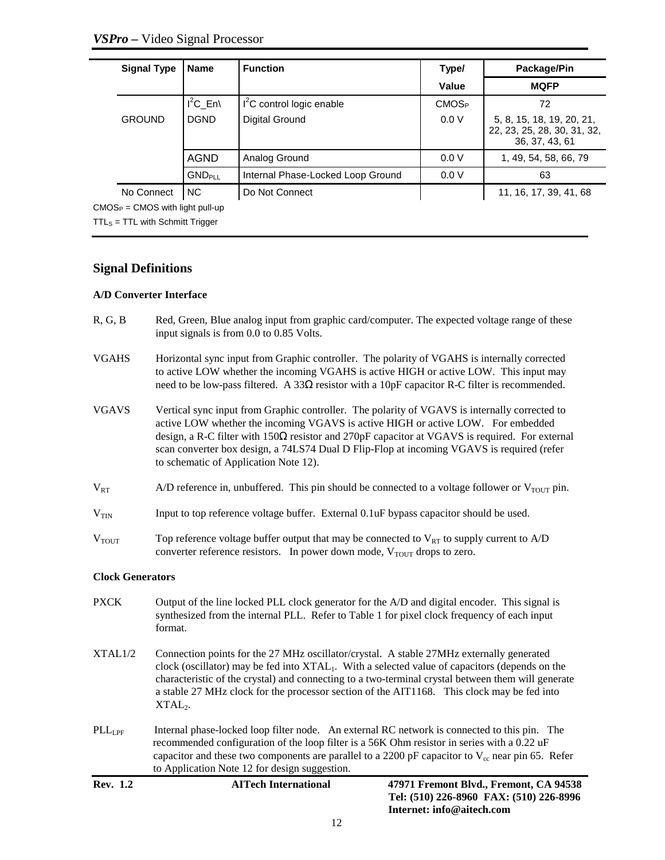| <b>Name</b>                                       | <b>Function</b>                   | Type/             | Package/Pin                                                                |
|---------------------------------------------------|-----------------------------------|-------------------|----------------------------------------------------------------------------|
|                                                   |                                   | Value             | <b>MQFP</b>                                                                |
| $I^2C$ En                                         | $I2C$ control logic enable        | CMOS <sub>P</sub> | 72                                                                         |
| <b>DGND</b>                                       | Digital Ground                    | 0.0 V             | 5, 8, 15, 18, 19, 20, 21,<br>22, 23, 25, 28, 30, 31, 32,<br>36, 37, 43, 61 |
| <b>AGND</b>                                       | Analog Ground                     | 0.0V              | 1, 49, 54, 58, 66, 79                                                      |
| <b>GNDPLL</b>                                     | Internal Phase-Locked Loop Ground | 0.0V              | 63                                                                         |
| <b>NC</b>                                         | Do Not Connect                    |                   | 11, 16, 17, 39, 41, 68                                                     |
| <b>Signal Type</b><br><b>GROUND</b><br>No Connect |                                   |                   |                                                                            |

 $CMOS<sub>P</sub> = CMOS$  with light pull-up  $TTL<sub>S</sub> = TTL$  with Schmitt Trigger

### **Signal Definitions**

### **A/D Converter Interface**

- R, G, B Red, Green, Blue analog input from graphic card/computer. The expected voltage range of these input signals is from 0.0 to 0.85 Volts.
- VGAHS Horizontal sync input from Graphic controller. The polarity of VGAHS is internally corrected to active LOW whether the incoming VGAHS is active HIGH or active LOW. This input may need to be low-pass filtered. A 33 $\Omega$  resistor with a 10pF capacitor R-C filter is recommended.
- VGAVS Vertical sync input from Graphic controller. The polarity of VGAVS is internally corrected to active LOW whether the incoming VGAVS is active HIGH or active LOW. For embedded design, a R-C filter with  $150\Omega$  resistor and  $270pF$  capacitor at VGAVS is required. For external scan converter box design, a 74LS74 Dual D Flip-Flop at incoming VGAVS is required (refer to schematic of Application Note 12).
- $V_{RT}$  A/D reference in, unbuffered. This pin should be connected to a voltage follower or  $V_{TOUT}$  pin.
- $V_{TIN}$  Input to top reference voltage buffer. External 0.1uF bypass capacitor should be used.
- $V_{\text{TOUT}}$  Top reference voltage buffer output that may be connected to  $V_{\text{RT}}$  to supply current to A/D converter reference resistors. In power down mode,  $V_{\text{TOUT}}$  drops to zero.

### **Clock Generators**

PXCK Output of the line locked PLL clock generator for the A/D and digital encoder. This signal is synthesized from the internal PLL. Refer to Table 1 for pixel clock frequency of each input format. XTAL1/2 Connection points for the 27 MHz oscillator/crystal. A stable 27MHz externally generated clock (oscillator) may be fed into  $XTAL<sub>1</sub>$ . With a selected value of capacitors (depends on the characteristic of the crystal) and connecting to a two-terminal crystal between them will generate a stable 27 MHz clock for the processor section of the AIT1168. This clock may be fed into  $XTAL<sub>2</sub>$ .  $\n PLL_{IPF}\n$  Internal phase-locked loop filter node. An external RC network is connected to this pin. The recommended configuration of the loop filter is a 56K Ohm resistor in series with a 0.22 uF capacitor and these two components are parallel to a 2200 pF capacitor to  $V_{\rm cc}$  near pin 65. Refer to Application Note 12 for design suggestion.

| <b>Rev.</b> 1.2 |  |  |
|-----------------|--|--|
|-----------------|--|--|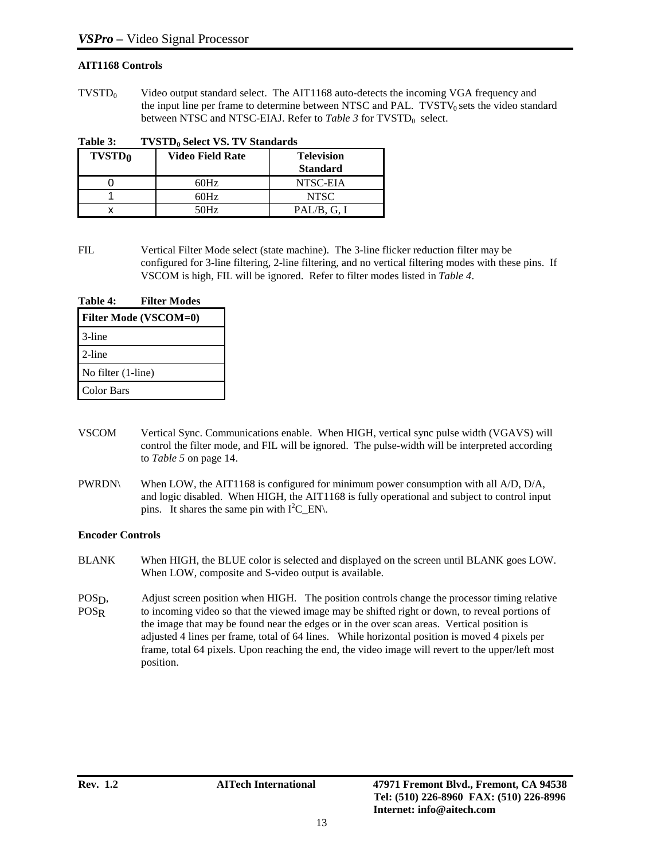### **AIT1168 Controls**

 $TVSTD<sub>0</sub>$  Video output standard select. The AIT1168 auto-detects the incoming VGA frequency and the input line per frame to determine between NTSC and PAL. TVSTV $_0$  sets the video standard between NTSC and NTSC-EIAJ. Refer to *Table 3* for TVSTD<sub>0</sub> select.

Table 3: TVSTD<sub>0</sub> Select VS. TV Standards

| <b>TVSTD<sub>0</sub></b> | <b>Video Field Rate</b> | <b>Television</b><br><b>Standard</b> |
|--------------------------|-------------------------|--------------------------------------|
|                          | 60Hz                    | NTSC-EIA                             |
|                          | 60Hz                    | <b>NTSC</b>                          |
|                          | 50Hz                    | PAL/B, G, I                          |

FIL Vertical Filter Mode select (state machine). The 3-line flicker reduction filter may be configured for 3-line filtering, 2-line filtering, and no vertical filtering modes with these pins. If VSCOM is high, FIL will be ignored. Refer to filter modes listed in *Table 4*.

| Table 4:           | <b>Filter Modes</b>          |
|--------------------|------------------------------|
|                    | <b>Filter Mode (VSCOM=0)</b> |
| 3-line             |                              |
| 2-line             |                              |
| No filter (1-line) |                              |
| <b>Color Bars</b>  |                              |

- VSCOM Vertical Sync. Communications enable. When HIGH, vertical sync pulse width (VGAVS) will control the filter mode, and FIL will be ignored. The pulse-width will be interpreted according to *Table 5* on page 14.
- PWRDN\ When LOW, the AIT1168 is configured for minimum power consumption with all A/D, D/A, and logic disabled. When HIGH, the AIT1168 is fully operational and subject to control input pins. It shares the same pin with  $I^2C$  EN.

### **Encoder Controls**

- BLANK When HIGH, the BLUE color is selected and displayed on the screen until BLANK goes LOW. When LOW, composite and S-video output is available.
- POSD, Adjust screen position when HIGH. The position controls change the processor timing relative POSR to incoming video so that the viewed image may be shifted right or down, to reveal portions of to incoming video so that the viewed image may be shifted right or down, to reveal portions of the image that may be found near the edges or in the over scan areas. Vertical position is adjusted 4 lines per frame, total of 64 lines. While horizontal position is moved 4 pixels per frame, total 64 pixels. Upon reaching the end, the video image will revert to the upper/left most position.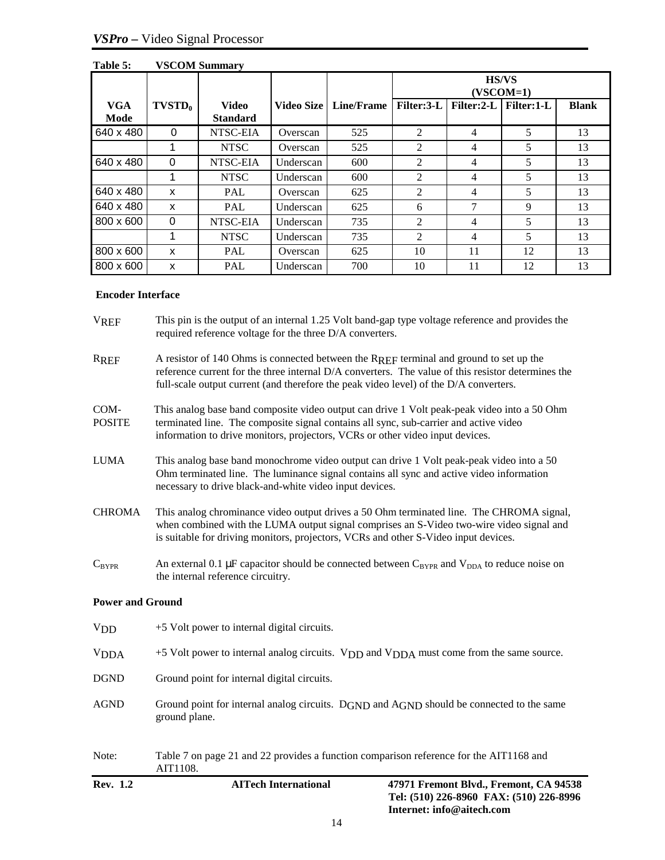|                    |           |                                 |            |                   | <b>HS/VS</b><br>$(VSCOM=1)$ |            |            |              |
|--------------------|-----------|---------------------------------|------------|-------------------|-----------------------------|------------|------------|--------------|
| <b>VGA</b><br>Mode | $TVSTD_0$ | <b>Video</b><br><b>Standard</b> | Video Size | <b>Line/Frame</b> | Filter:3-L                  | Filter:2-L | Filter:1-L | <b>Blank</b> |
| 640 x 480          | $\Omega$  | NTSC-EIA                        | Overscan   | 525               | $\mathcal{D}_{\mathcal{L}}$ | 4          | 5          | 13           |
|                    |           | <b>NTSC</b>                     | Overscan   | 525               | 2                           | 4          | 5          | 13           |
| 640 x 480          | $\Omega$  | NTSC-EIA                        | Underscan  | 600               | $\overline{2}$              | 4          | 5          | 13           |
|                    |           | <b>NTSC</b>                     | Underscan  | 600               | $\mathfrak{D}$              | 4          | 5          | 13           |
| 640 x 480          | X         | <b>PAL</b>                      | Overscan   | 625               | $\overline{2}$              | 4          | 5          | 13           |
| 640 x 480          | X         | PAL                             | Underscan  | 625               | 6                           | 7          | 9          | 13           |
| 800 x 600          | $\Omega$  | NTSC-EIA                        | Underscan  | 735               | $\mathfrak{D}$              | 4          | 5          | 13           |
|                    |           | <b>NTSC</b>                     | Underscan  | 735               | $\mathcal{D}_{\mathcal{L}}$ | 4          | 5          | 13           |
| 800 x 600          | X         | PAL                             | Overscan   | 625               | 10                          | 11         | 12         | 13           |
| 800 x 600          | x         | <b>PAL</b>                      | Underscan  | 700               | 10                          | 11         | 12         | 13           |

### **Table 5: VSCOM Summary**

### **Encoder Interface**

| Rev. 1.2                | <b>AITech International</b><br>47971 Fremont Blvd., Fremont, CA 94538<br>Tel: (510) 226-8960 FAX: (510) 226-8996<br>Internet: info@aitech.com                                                                                                                                         |  |  |  |  |  |
|-------------------------|---------------------------------------------------------------------------------------------------------------------------------------------------------------------------------------------------------------------------------------------------------------------------------------|--|--|--|--|--|
| Note:                   | Table 7 on page 21 and 22 provides a function comparison reference for the AIT1168 and<br>AIT1108.                                                                                                                                                                                    |  |  |  |  |  |
| <b>AGND</b>             | Ground point for internal analog circuits. $D_{\text{GND}}$ and $A_{\text{GND}}$ should be connected to the same<br>ground plane.                                                                                                                                                     |  |  |  |  |  |
| <b>DGND</b>             | Ground point for internal digital circuits.                                                                                                                                                                                                                                           |  |  |  |  |  |
| <b>VDDA</b>             | +5 Volt power to internal analog circuits. V <sub>DD</sub> and V <sub>DDA</sub> must come from the same source.                                                                                                                                                                       |  |  |  |  |  |
| V <sub>DD</sub>         | +5 Volt power to internal digital circuits.                                                                                                                                                                                                                                           |  |  |  |  |  |
| <b>Power and Ground</b> |                                                                                                                                                                                                                                                                                       |  |  |  |  |  |
| $C_{\text{BYPR}}$       | An external 0.1 µF capacitor should be connected between $C_{BYPR}$ and $V_{DDA}$ to reduce noise on<br>the internal reference circuitry.                                                                                                                                             |  |  |  |  |  |
| <b>CHROMA</b>           | This analog chrominance video output drives a 50 Ohm terminated line. The CHROMA signal,<br>when combined with the LUMA output signal comprises an S-Video two-wire video signal and<br>is suitable for driving monitors, projectors, VCRs and other S-Video input devices.           |  |  |  |  |  |
| <b>LUMA</b>             | This analog base band monochrome video output can drive 1 Volt peak-peak video into a 50<br>Ohm terminated line. The luminance signal contains all sync and active video information<br>necessary to drive black-and-white video input devices.                                       |  |  |  |  |  |
| COM-<br><b>POSITE</b>   | This analog base band composite video output can drive 1 Volt peak-peak video into a 50 Ohm<br>terminated line. The composite signal contains all sync, sub-carrier and active video<br>information to drive monitors, projectors, VCRs or other video input devices.                 |  |  |  |  |  |
| <b>RREF</b>             | A resistor of 140 Ohms is connected between the RREF terminal and ground to set up the<br>reference current for the three internal D/A converters. The value of this resistor determines the<br>full-scale output current (and therefore the peak video level) of the D/A converters. |  |  |  |  |  |
| <b>VREF</b>             | This pin is the output of an internal 1.25 Volt band-gap type voltage reference and provides the<br>required reference voltage for the three D/A converters.                                                                                                                          |  |  |  |  |  |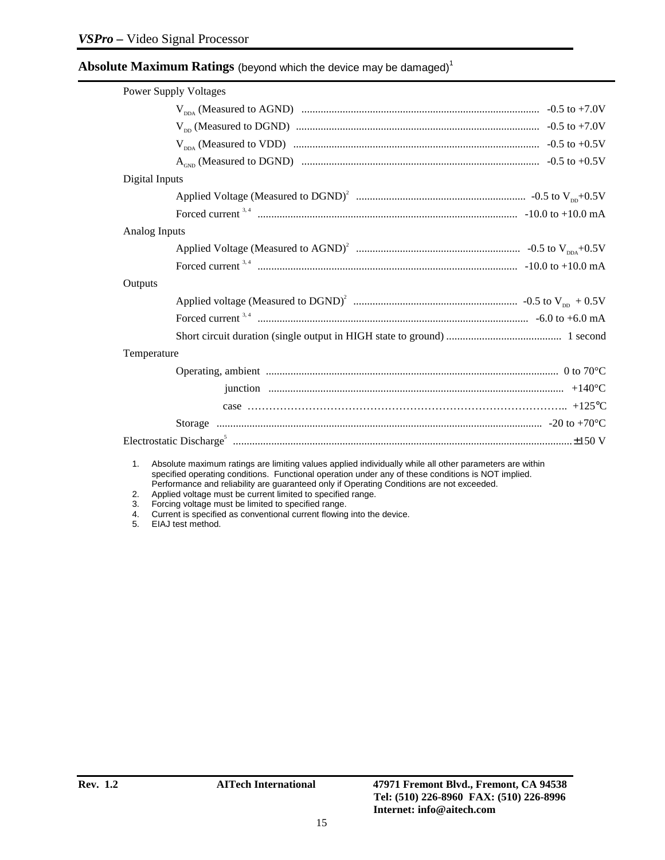### $\mathbf A$ bso $\mathbf l$ ute  $\mathbf M$ aximum  $\mathbf R$ atings (beyond which the device may be damaged) $^1$

| <b>Power Supply Voltages</b>                                                                              |  |  |  |  |
|-----------------------------------------------------------------------------------------------------------|--|--|--|--|
|                                                                                                           |  |  |  |  |
|                                                                                                           |  |  |  |  |
|                                                                                                           |  |  |  |  |
|                                                                                                           |  |  |  |  |
| Digital Inputs                                                                                            |  |  |  |  |
|                                                                                                           |  |  |  |  |
|                                                                                                           |  |  |  |  |
| Analog Inputs                                                                                             |  |  |  |  |
|                                                                                                           |  |  |  |  |
|                                                                                                           |  |  |  |  |
| Outputs                                                                                                   |  |  |  |  |
|                                                                                                           |  |  |  |  |
|                                                                                                           |  |  |  |  |
|                                                                                                           |  |  |  |  |
| Temperature                                                                                               |  |  |  |  |
| Operating, ambient manufactured and contact the contract of the contract of the contract of the CO°C.     |  |  |  |  |
|                                                                                                           |  |  |  |  |
|                                                                                                           |  |  |  |  |
|                                                                                                           |  |  |  |  |
|                                                                                                           |  |  |  |  |
| 1 Absolute maximum ratings are limiting values applied individually while all other parameters are within |  |  |  |  |

1. Absolute maximum ratings are limiting values applied individually while all other parameters are within specified operating conditions. Functional operation under any of these conditions is NOT implied. Performance and reliability are guaranteed only if Operating Conditions are not exceeded.

- 2. Applied voltage must be current limited to specified range.
- 3. Forcing voltage must be limited to specified range.
- 4. Current is specified as conventional current flowing into the device.

5. EIAJ test method.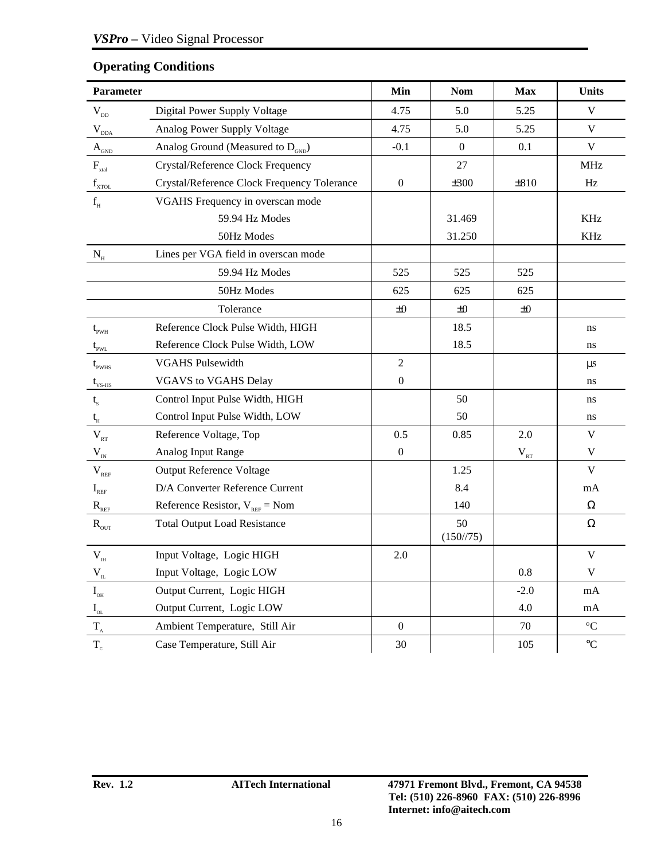| Parameter                                   |                                                   | Min              | <b>Nom</b>                | <b>Max</b>      | Units             |
|---------------------------------------------|---------------------------------------------------|------------------|---------------------------|-----------------|-------------------|
| $V_{DD}$                                    | Digital Power Supply Voltage                      | 4.75             | 5.0                       | 5.25            | $\mathbf V$       |
| $\rm V_{\rm dDA}$                           | Analog Power Supply Voltage                       | 4.75             | 5.0                       | 5.25            | V                 |
| $\mathbf{A}_{\text{G}_{\text{ND}}}$         | Analog Ground (Measured to $D_{GND}$ )            | $-0.1$           | $\mathbf{0}$              | 0.1             | $\mathbf V$       |
| $F_{\rm xtal}$                              | Crystal/Reference Clock Frequency                 |                  | 27                        |                 | MHz               |
| $f_{\text{XTOL}}$                           | Crystal/Reference Clock Frequency Tolerance       | $\boldsymbol{0}$ | ±300                      | $\pm 810$       | Hz                |
| $\mathbf{f}_{_{\rm H}}$                     | VGAHS Frequency in overscan mode                  |                  |                           |                 |                   |
|                                             | 59.94 Hz Modes                                    |                  | 31.469                    |                 | KHz               |
|                                             | 50Hz Modes                                        |                  | 31.250                    |                 | <b>KHz</b>        |
| $\rm N_{\scriptscriptstyle H}$              | Lines per VGA field in overscan mode              |                  |                           |                 |                   |
|                                             | 59.94 Hz Modes                                    | 525              | 525                       | 525             |                   |
|                                             | 50Hz Modes                                        | 625              | 625                       | 625             |                   |
|                                             | Tolerance                                         | ±0               | ±0                        | ±0              |                   |
| $t_{\rm pWH}$                               | Reference Clock Pulse Width, HIGH                 |                  | 18.5                      |                 | ns                |
| $t_{\scriptscriptstyle \rm PWL}$            | Reference Clock Pulse Width, LOW                  |                  | 18.5                      |                 | ns                |
| $t_{_{\rm PWHS}}$                           | <b>VGAHS Pulsewidth</b>                           |                  |                           |                 | $\mu$ s           |
| $t_{\rm vs\text{-}HS}$                      | <b>VGAVS to VGAHS Delay</b>                       |                  |                           |                 | ns                |
| $t_{s}$                                     | Control Input Pulse Width, HIGH                   |                  | 50                        |                 | ns                |
| $\mathfrak{t}_{_{\!H}}$                     | Control Input Pulse Width, LOW                    |                  | 50                        |                 | ns                |
| $\rm V_{\rm \scriptscriptstyle RT}$         | Reference Voltage, Top                            | 0.5              | 0.85                      | 2.0             | $\mathbf V$       |
| $V_{IN}$                                    | Analog Input Range                                | $\boldsymbol{0}$ |                           | $\rm V_{_{RT}}$ | V                 |
| $V_{REF}$                                   | <b>Output Reference Voltage</b>                   |                  | 1.25                      |                 | V                 |
| $I_{REF}$                                   | D/A Converter Reference Current                   |                  | 8.4                       |                 | mA                |
| $R_{REF}$                                   | Reference Resistor, $V_{\text{ref}} = \text{Nom}$ |                  | 140                       |                 | Ω                 |
| $R_{\text{out}}$                            | <b>Total Output Load Resistance</b>               |                  | 50<br>$(150\frac{75}{1})$ |                 | $\Omega$          |
| $\mathbf{V}_{_{\text{IH}}}$                 | Input Voltage, Logic HIGH                         | 2.0              |                           |                 | $\mathbf V$       |
| $V_{_{\rm IL}}$                             | Input Voltage, Logic LOW                          |                  |                           | 0.8             | V                 |
| $\mathbf{I}_{\text{OH}}$                    | Output Current, Logic HIGH                        |                  |                           | $-2.0$          | mA                |
| $I_{\rm OL}$                                | Output Current, Logic LOW                         |                  |                           | 4.0             | mA                |
| $\mathbf{T}_{\scriptscriptstyle{\text{A}}}$ | Ambient Temperature, Still Air                    | $\boldsymbol{0}$ |                           | 70              | $^{\circ}{\rm C}$ |

# **Operating Conditions**

 $T_c$  Case Temperature, Still Air 105 105 °C

 $\overline{\phantom{a}}$ 

 $\overline{\phantom{a}}$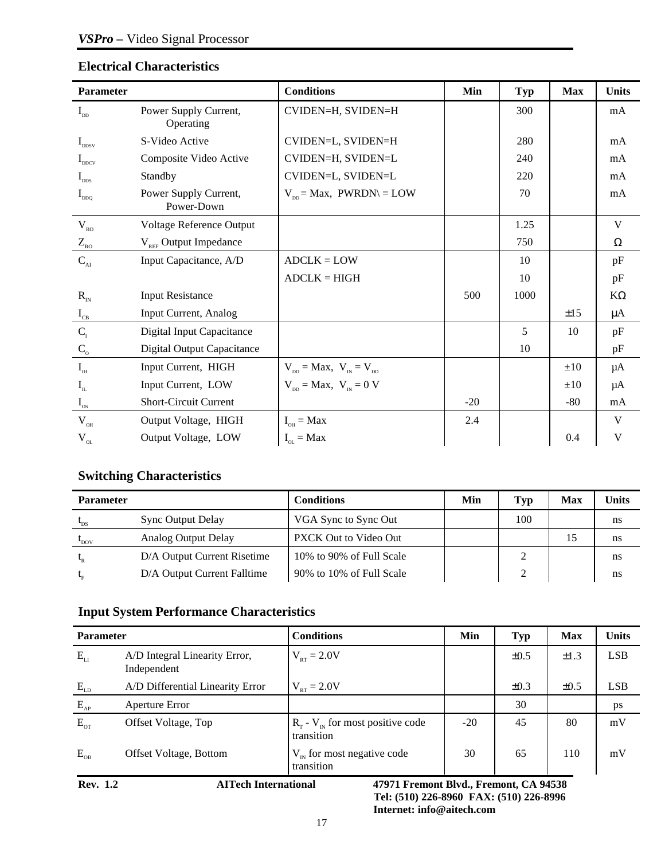### **Electrical Characteristics**

| <b>Parameter</b>                        |                                     | <b>Conditions</b>                                              | Min   | Typ  | <b>Max</b> | <b>Units</b> |
|-----------------------------------------|-------------------------------------|----------------------------------------------------------------|-------|------|------------|--------------|
| $I_{DD}$                                | Power Supply Current,<br>Operating  | CVIDEN=H, SVIDEN=H                                             |       | 300  |            | mA           |
| $I_{\text{DDSV}}$                       | S-Video Active                      | CVIDEN=L, SVIDEN=H                                             |       | 280  |            | mA           |
| $I_{\text{DDCV}}$                       | Composite Video Active              | CVIDEN=H, SVIDEN=L                                             |       | 240  |            | mA           |
| $I_{\text{d}}$                          | Standby                             | CVIDEN=L, SVIDEN=L                                             |       | 220  |            | mA           |
| $I_{DDQ}$                               | Power Supply Current,<br>Power-Down | $V_{\text{nn}} = \text{Max}$ , PWRDN $\backslash = \text{LOW}$ |       | 70   |            | mA           |
| $V_{RO}$                                | Voltage Reference Output            |                                                                |       | 1.25 |            | V            |
| $Z_{\rm RO}$                            | $V_{REF}$ Output Impedance          |                                                                |       | 750  |            | Ω            |
| $\mathbf{C}_\text{\tiny Al}$            | Input Capacitance, A/D              | $ADCLK = LOW$                                                  |       | 10   |            | pF           |
|                                         |                                     | $ADCLK = HIGH$                                                 |       | 10   |            | pF           |
| $R_{\rm IN}$                            | <b>Input Resistance</b>             |                                                                | 500   | 1000 |            | $K\Omega$    |
| $\mathbf{I}_{\textsc{cb}}$              | Input Current, Analog               |                                                                |       |      | ±15        | $\mu A$      |
| $C_{I}$                                 | <b>Digital Input Capacitance</b>    |                                                                |       | 5    | 10         | pF           |
| $\mathbf{C}_\mathrm{o}$                 | <b>Digital Output Capacitance</b>   |                                                                |       | 10   |            | pF           |
| $\mathbf{I}_{\scriptscriptstyle\rm IH}$ | Input Current, HIGH                 | $V_{\text{DD}} = \text{Max}, V_{\text{IN}} = V_{\text{DD}}$    |       |      | $\pm 10$   | μA           |
| $I_{\text{IL}}$                         | Input Current, LOW                  | $V_{\text{DD}} = \text{Max}, V_{\text{IN}} = 0 V$              |       |      | $\pm 10$   | μA           |
| $I_{\rm os}$                            | <b>Short-Circuit Current</b>        |                                                                | $-20$ |      | $-80$      | mA           |
| $\mathbf{V}_{_{\mathrm{OH}}}$           | Output Voltage, HIGH                | $I_{\text{OH}} = \text{Max}$                                   | 2.4   |      |            | V            |
| $V_{_{OL}}$                             | Output Voltage, LOW                 | $I_{\text{or}} = \text{Max}$                                   |       |      | 0.4        | V            |

# **Switching Characteristics**

| <b>Parameter</b> |                             | Conditions                   | Min | Typ | Max | Units |
|------------------|-----------------------------|------------------------------|-----|-----|-----|-------|
| $t_{DS}$         | <b>Sync Output Delay</b>    | VGA Sync to Sync Out         |     | 100 |     | ns    |
| $b_{\text{DOV}}$ | <b>Analog Output Delay</b>  | <b>PXCK Out to Video Out</b> |     |     | 15  | ns    |
| $t_{R}$          | D/A Output Current Risetime | 10% to 90% of Full Scale     |     |     |     | ns    |
|                  | D/A Output Current Falltime | 90% to 10% of Full Scale     |     |     |     | ns    |

# **Input System Performance Characteristics**

| <b>Parameter</b>                               |                                              | <b>Conditions</b>                                    | Min   | <b>Typ</b> | <b>Max</b> | <b>Units</b> |
|------------------------------------------------|----------------------------------------------|------------------------------------------------------|-------|------------|------------|--------------|
| $E_{LI}$                                       | A/D Integral Linearity Error,<br>Independent | $V_{RT} = 2.0 V$                                     |       | $\pm 0.5$  | $\pm 1.3$  | <b>LSB</b>   |
| $E_{LD}$                                       | A/D Differential Linearity Error             | $V_{\rm pr} = 2.0 V$                                 |       | $\pm 0.3$  | $\pm 0.5$  | <b>LSB</b>   |
| $\mathbf{E}_{\scriptscriptstyle{\mathrm{AP}}}$ | Aperture Error                               |                                                      |       | 30         |            | ps           |
| $E_{\text{or}}$                                | Offset Voltage, Top                          | $R_r$ - $V_{N}$ for most positive code<br>transition | $-20$ | 45         | 80         | mV           |
| $E_{OB}$                                       | Offset Voltage, Bottom                       | $V_{N}$ for most negative code<br>transition         | 30    | 65         | 110        | mV           |

**Rev. 1.2 AITech International 47971 Fremont Blvd., Fremont, CA 94538 Tel: (510) 226-8960 FAX: (510) 226-8996 Internet: info@aitech.com**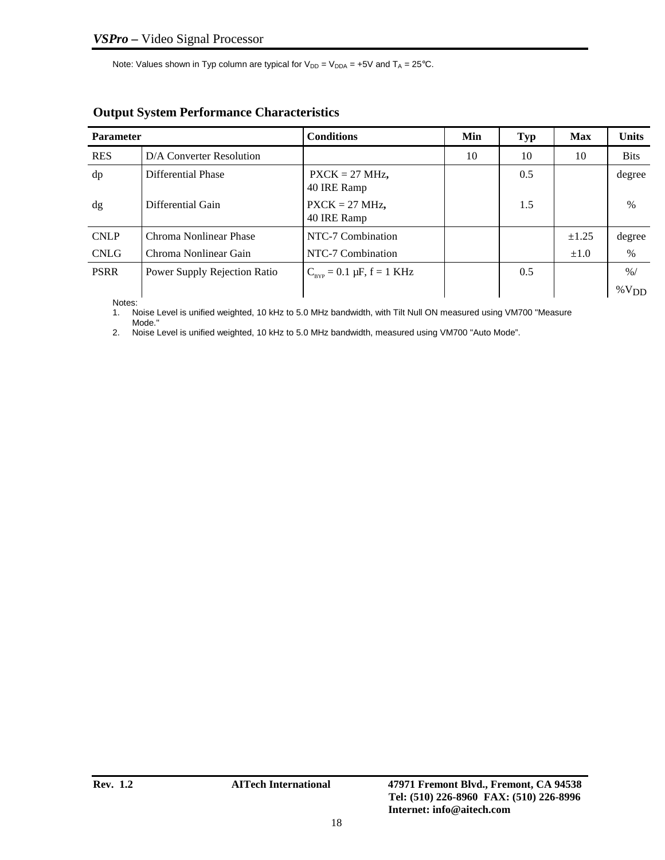Note: Values shown in Typ column are typical for  $V_{DD} = V_{DDA} = +5V$  and  $T_A = 25^{\circ}C$ .

| <b>Parameter</b> |                              | Min<br><b>Conditions</b>                    |    | <b>Typ</b> | <b>Max</b> | <b>Units</b>  |
|------------------|------------------------------|---------------------------------------------|----|------------|------------|---------------|
| <b>RES</b>       | D/A Converter Resolution     |                                             | 10 | 10         | 10         | <b>Bits</b>   |
| dp               | Differential Phase           | $PXCK = 27 MHz$ ,<br>40 IRE Ramp            |    | 0.5        |            | degree        |
| $\mathrm{dg}$    | Differential Gain            | $PXCK = 27 MHz$ ,<br>40 IRE Ramp            |    | 1.5        |            | $\%$          |
| <b>CNLP</b>      | Chroma Nonlinear Phase       | NTC-7 Combination                           |    |            | ±1.25      | degree        |
| <b>CNLG</b>      | Chroma Nonlinear Gain        | NTC-7 Combination                           |    |            | $\pm 1.0$  | $\%$          |
| <b>PSRR</b>      | Power Supply Rejection Ratio | $C_{_{RVP}} = 0.1 \mu F, f = 1 \text{ KHz}$ |    | 0.5        |            | $\frac{9}{6}$ |
|                  |                              |                                             |    |            |            | $\%V_{DD}$    |

# **Output System Performance Characteristics**

Notes:

1. Noise Level is unified weighted, 10 kHz to 5.0 MHz bandwidth, with Tilt Null ON measured using VM700 "Measure

Mode." 2. Noise Level is unified weighted, 10 kHz to 5.0 MHz bandwidth, measured using VM700 "Auto Mode".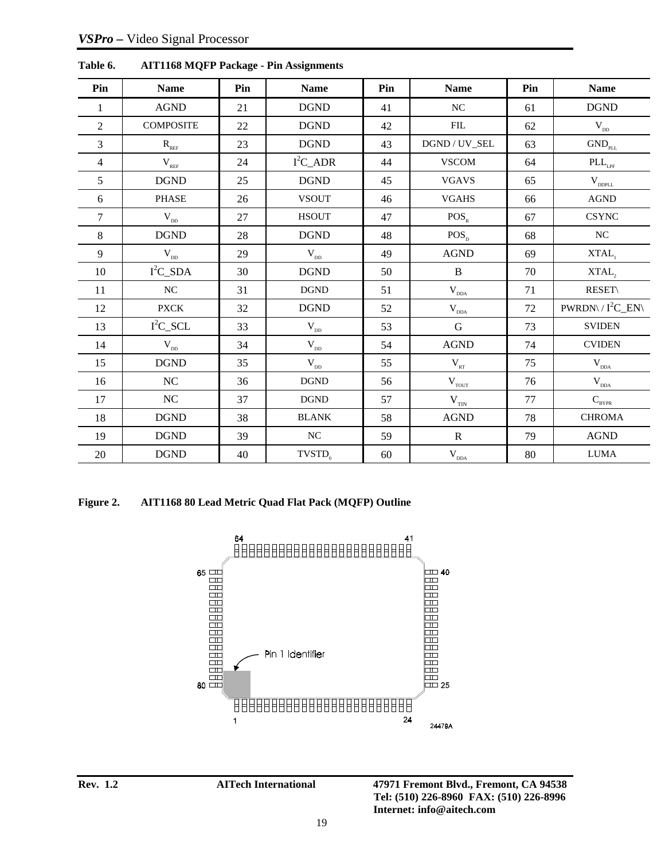| Pin            | <b>Name</b>                                   | Pin | <b>Name</b>                        | Pin    | <b>Name</b>               | Pin | <b>Name</b>                        |
|----------------|-----------------------------------------------|-----|------------------------------------|--------|---------------------------|-----|------------------------------------|
| 1              | $\operatorname{AGND}$                         | 21  | <b>DGND</b>                        | 41     | $_{\mathrm{NC}}$          | 61  | $\operatorname{DGND}$              |
| $\overline{2}$ | <b>COMPOSITE</b>                              | 22  | <b>DGND</b>                        | 42     | ${\rm FIL}$               | 62  | $\rm V_{\rm\scriptscriptstyle DD}$ |
| 3              | $\mathbf{R}_{\scriptscriptstyle\mathrm{REF}}$ | 23  | <b>DGND</b>                        | 43     | DGND / UV_SEL             | 63  | $\mathrm{GND}_{\mathrm{PL}}$       |
| 4              | $V_{REF}$                                     | 24  | $I^2C$ _ADR                        | 44     | <b>VSCOM</b>              | 64  | $\text{PLL}_{\text{\tiny LPF}}$    |
| 5              | $\operatorname{DGND}$                         | 25  | $\operatorname{DGND}$              | 45     | <b>VGAVS</b>              | 65  | $\mathbf{V}_{\text{DDPLL}}$        |
| 6              | <b>PHASE</b>                                  | 26  | <b>VSOUT</b>                       | 46     | <b>VGAHS</b>              | 66  | $\rm{AGND}$                        |
| 7              | $\rm V_{\scriptscriptstyle DD}$               | 27  | <b>HSOUT</b>                       | 47     | $POS_{R}$                 | 67  | <b>CSYNC</b>                       |
| 8              | $\operatorname{DGND}$                         | 28  | <b>DGND</b>                        | 48     | $POS_{p}$                 | 68  | NC                                 |
| 9              | $\mathbf{V}_{_{\rm DD}}$                      | 29  | $\rm V_{\rm\scriptscriptstyle DD}$ | 49     | $\rm{AGND}$               | 69  | $XTAL$ <sub>1</sub>                |
| 10             | $I^2C$ _SDA                                   | 30  | $\operatorname{DGND}$              | 50     | $\, {\bf B}$              | 70  | XTAL,                              |
| 11             | NC                                            | 31  | <b>DGND</b>                        | 51     | $\mathbf{V}_{\text{DDA}}$ | 71  | <b>RESET\</b>                      |
| 12             | <b>PXCK</b>                                   | 32  | <b>DGND</b>                        | 52     | $\mathbf{V}_{\text{dDA}}$ | 72  | $PWRDN \setminus I^2C_EN$          |
| 13             | $I^2C$ <sub>_SCL</sub>                        | 33  | $\rm V_{\rm\scriptscriptstyle DD}$ | 53     | G                         | 73  | <b>SVIDEN</b>                      |
| 14             | $\mathbf{V}_{_{\rm DD}}$                      | 34  | $\rm V_{\rm\scriptscriptstyle DD}$ | 54     | <b>AGND</b>               | 74  | <b>CVIDEN</b>                      |
| 15             | <b>DGND</b>                                   | 35  | $\mathbf{V}_{_{\rm DD}}$           | 55     | $\rm V_{_{RT}}$           | 75  | $\rm V_{_{DDA}}$                   |
| 16             | NC                                            | 36  | $\operatorname{DGND}$              | 56     | $\mathbf{V}_{\text{TOT}}$ | 76  | $\mathbf{V}_{\text{DDA}}$          |
| 17             | $\rm NC$                                      | 37  | <b>DGND</b>                        | 57     | $\rm V_{\rm TIN}$         | 77  | $C_{BYPR}$                         |
| 18             | $\operatorname{DGND}$                         | 38  | <b>BLANK</b>                       | 58     | $\rm{AGND}$               | 78  | <b>CHROMA</b>                      |
| 19             | $\operatorname{DGND}$                         | 39  | $_{\mathrm{NC}}$                   | 59     | ${\bf R}$                 | 79  | <b>AGND</b>                        |
| $20\,$         | <b>DGND</b>                                   | 40  | $TVSTD_0$                          | $60\,$ | $\mathbf{V}_{_{DDA}}$     | 80  | <b>LUMA</b>                        |

**Table 6. AIT1168 MQFP Package - Pin Assignments**

**Figure 2. AIT1168 80 Lead Metric Quad Flat Pack (MQFP) Outline**

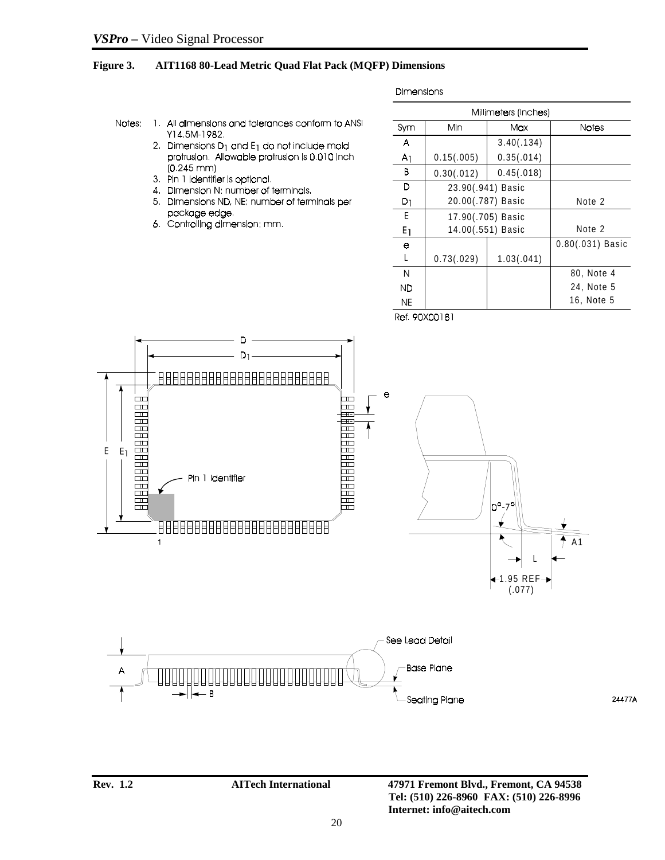### **Figure 3. AIT1168 80-Lead Metric Quad Flat Pack (MQFP) Dimensions**

**Dimensions** 

- Notes: 1. All dimensions and tolerances conform to ANSI Y14 5M-1982.
	- 2. Dimensions  $D_1$  and  $E_1$  do not include mold protrusion. Allowable protrusion is 0.010 inch  $(0.245 \, \text{mm})$
	- 3. Pin 1 identifier is optional.
	- 4. Dimension N: number of terminals.
	- 5. Dimensions ND, NE: number of terminals per package edge.
	- 6. Controlling dimension: mm.

|       | Millimeters (Inches) |                   |                    |  |  |  |
|-------|----------------------|-------------------|--------------------|--|--|--|
| Sym   | Min<br>Max           |                   | <b>Notes</b>       |  |  |  |
| А     |                      | 3.40(.134)        |                    |  |  |  |
| 71    | 0.15(.005)           | 0.35(.014)        |                    |  |  |  |
| В     | 0.30(.012)           | 0.45(.018)        |                    |  |  |  |
| D     | 23.90(.941) Basic    |                   |                    |  |  |  |
| D1    | 20.00(.787) Basic    | Note 2            |                    |  |  |  |
| E     | 17.90(.705) Basic    |                   |                    |  |  |  |
| $E_1$ |                      | 14.00(.551) Basic | Note 2             |  |  |  |
| е     |                      |                   | $0.80(.031)$ Basic |  |  |  |
| L     | 0.73(.029)           | 1.03(.041)        |                    |  |  |  |
| N     |                      |                   | 80, Note 4         |  |  |  |
| ND    |                      |                   | 24, Note 5         |  |  |  |
| ΝE    |                      |                   | 16, Note 5         |  |  |  |
|       |                      |                   |                    |  |  |  |

Ref. 90X00181



24477A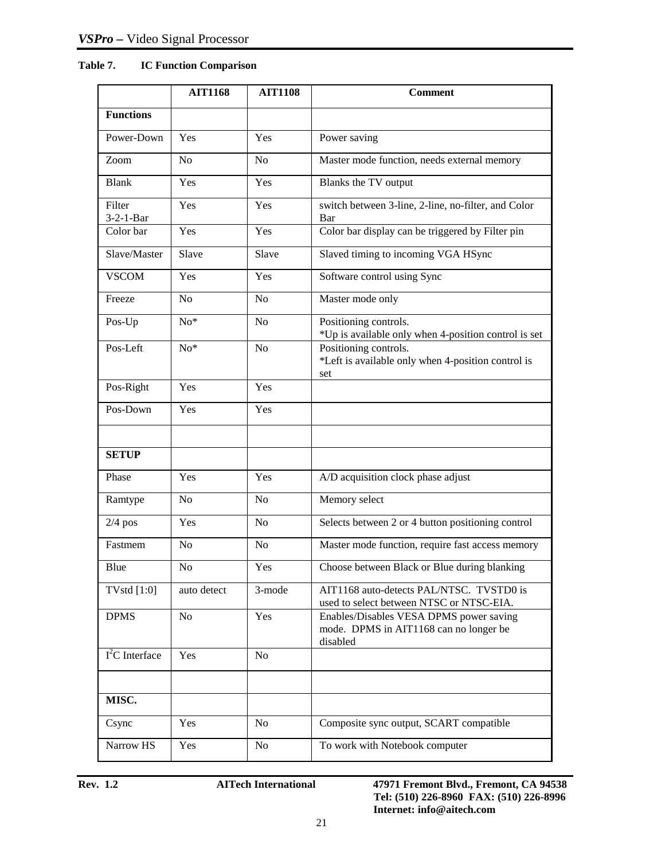### **Table 7. IC Function Comparison**

|                             | <b>AIT1168</b> | <b>AIT1108</b> | <b>Comment</b>                                                                                |
|-----------------------------|----------------|----------------|-----------------------------------------------------------------------------------------------|
| <b>Functions</b>            |                |                |                                                                                               |
| Power-Down                  | Yes            | Yes            | Power saving                                                                                  |
| Zoom                        | No             | No             | Master mode function, needs external memory                                                   |
| <b>Blank</b>                | Yes            | Yes            | Blanks the TV output                                                                          |
| Filter<br>$3 - 2 - 1 - Bar$ | Yes            | Yes            | switch between 3-line, 2-line, no-filter, and Color<br>Bar                                    |
| Color bar                   | Yes            | Yes            | Color bar display can be triggered by Filter pin                                              |
| Slave/Master                | Slave          | Slave          | Slaved timing to incoming VGA HSync                                                           |
| <b>VSCOM</b>                | Yes            | Yes            | Software control using Sync                                                                   |
| Freeze                      | N <sub>o</sub> | N <sub>0</sub> | Master mode only                                                                              |
| Pos-Up                      | $No*$          | N <sub>o</sub> | Positioning controls.<br>*Up is available only when 4-position control is set                 |
| Pos-Left                    | $No*$          | N <sub>o</sub> | Positioning controls.<br>*Left is available only when 4-position control is<br>set            |
| Pos-Right                   | Yes            | Yes            |                                                                                               |
| Pos-Down                    | Yes            | Yes            |                                                                                               |
|                             |                |                |                                                                                               |
| <b>SETUP</b>                |                |                |                                                                                               |
| Phase                       | Yes            | Yes            | A/D acquisition clock phase adjust                                                            |
| Ramtype                     | N <sub>o</sub> | N <sub>o</sub> | Memory select                                                                                 |
| $2/4$ pos                   | Yes            | N <sub>o</sub> | Selects between 2 or 4 button positioning control                                             |
| Fastmem                     | No             | No             | Master mode function, require fast access memory                                              |
| Blue                        | No             | Yes            | Choose between Black or Blue during blanking                                                  |
| <b>TVstd</b> [1:0]          | auto detect    | 3-mode         | AIT1168 auto-detects PAL/NTSC. TVSTD0 is<br>used to select between NTSC or NTSC-EIA.          |
| <b>DPMS</b>                 | N <sub>o</sub> | Yes            | Enables/Disables VESA DPMS power saving<br>mode. DPMS in AIT1168 can no longer be<br>disabled |
| $\overline{I^2C}$ Interface | Yes            | N <sub>o</sub> |                                                                                               |
|                             |                |                |                                                                                               |
| MISC.                       |                |                |                                                                                               |
| Csync                       | Yes            | $\rm No$       | Composite sync output, SCART compatible                                                       |
| Narrow HS                   | Yes            | N <sub>o</sub> | To work with Notebook computer                                                                |

**Rev. 1.2 AITech International 47971 Fremont Blvd., Fremont, CA 94538 Tel: (510) 226-8960 FAX: (510) 226-8996 Internet: info@aitech.com**